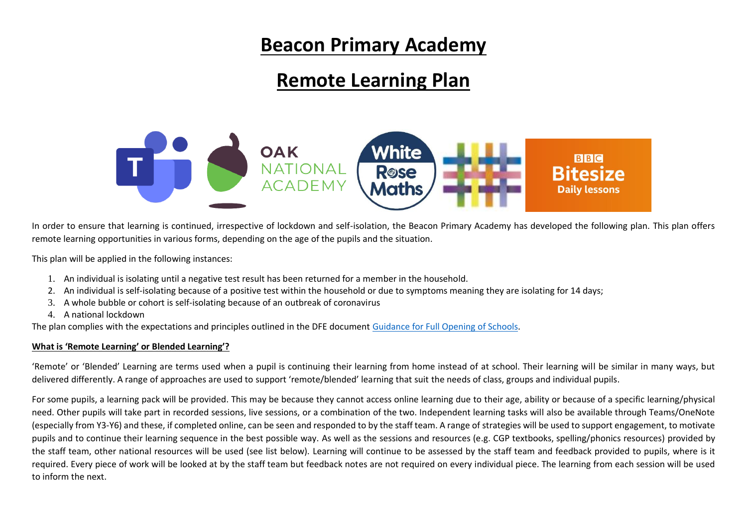## **Beacon Primary Academy**

# **Remote Learning Plan**



In order to ensure that learning is continued, irrespective of lockdown and self-isolation, the Beacon Primary Academy has developed the following plan. This plan offers remote learning opportunities in various forms, depending on the age of the pupils and the situation.

This plan will be applied in the following instances:

- 1. An individual is isolating until a negative test result has been returned for a member in the household.
- 2. An individual is self-isolating because of a positive test within the household or due to symptoms meaning they are isolating for 14 days;
- 3. A whole bubble or cohort is self-isolating because of an outbreak of coronavirus
- 4. A national lockdown

The plan complies with the expectations and principles outlined in the DFE documen[t Guidance for Full Opening of Schools.](https://www.gov.uk/government/publications/actions-for-schools-during-the-coronavirus-outbreak/guidance-for-full-opening-schools#res)

#### **What is 'Remote Learning' or Blended Learning'?**

'Remote' or 'Blended' Learning are terms used when a pupil is continuing their learning from home instead of at school. Their learning will be similar in many ways, but delivered differently. A range of approaches are used to support 'remote/blended' learning that suit the needs of class, groups and individual pupils.

For some pupils, a learning pack will be provided. This may be because they cannot access online learning due to their age, ability or because of a specific learning/physical need. Other pupils will take part in recorded sessions, live sessions, or a combination of the two. Independent learning tasks will also be available through Teams/OneNote (especially from Y3-Y6) and these, if completed online, can be seen and responded to by the staff team. A range of strategies will be used to support engagement, to motivate pupils and to continue their learning sequence in the best possible way. As well as the sessions and resources (e.g. CGP textbooks, spelling/phonics resources) provided by the staff team, other national resources will be used (see list below). Learning will continue to be assessed by the staff team and feedback provided to pupils, where is it required. Every piece of work will be looked at by the staff team but feedback notes are not required on every individual piece. The learning from each session will be used to inform the next.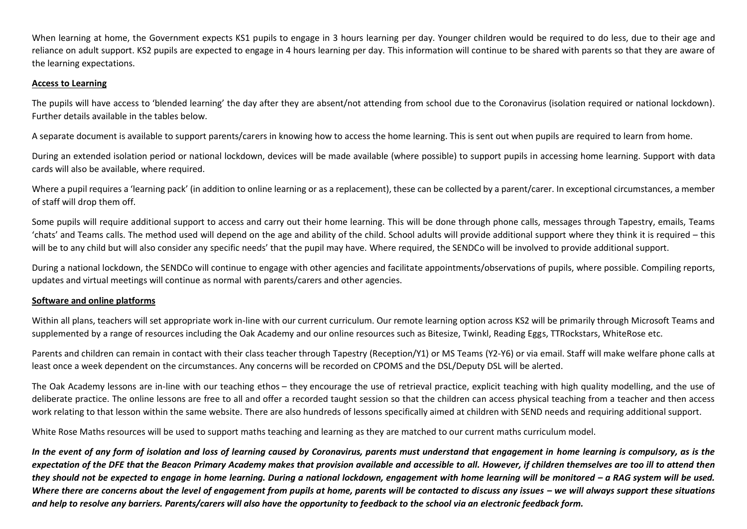When learning at home, the Government expects KS1 pupils to engage in 3 hours learning per day. Younger children would be required to do less, due to their age and reliance on adult support. KS2 pupils are expected to engage in 4 hours learning per day. This information will continue to be shared with parents so that they are aware of the learning expectations.

#### **Access to Learning**

The pupils will have access to 'blended learning' the day after they are absent/not attending from school due to the Coronavirus (isolation required or national lockdown). Further details available in the tables below.

A separate document is available to support parents/carers in knowing how to access the home learning. This is sent out when pupils are required to learn from home.

During an extended isolation period or national lockdown, devices will be made available (where possible) to support pupils in accessing home learning. Support with data cards will also be available, where required.

Where a pupil requires a 'learning pack' (in addition to online learning or as a replacement), these can be collected by a parent/carer. In exceptional circumstances, a member of staff will drop them off.

Some pupils will require additional support to access and carry out their home learning. This will be done through phone calls, messages through Tapestry, emails, Teams 'chats' and Teams calls. The method used will depend on the age and ability of the child. School adults will provide additional support where they think it is required – this will be to any child but will also consider any specific needs' that the pupil may have. Where required, the SENDCo will be involved to provide additional support.

During a national lockdown, the SENDCo will continue to engage with other agencies and facilitate appointments/observations of pupils, where possible. Compiling reports, updates and virtual meetings will continue as normal with parents/carers and other agencies.

## **Software and online platforms**

Within all plans, teachers will set appropriate work in-line with our current curriculum. Our remote learning option across KS2 will be primarily through Microsoft Teams and supplemented by a range of resources including the Oak Academy and our online resources such as Bitesize, Twinkl, Reading Eggs, TTRockstars, WhiteRose etc.

Parents and children can remain in contact with their class teacher through Tapestry (Reception/Y1) or MS Teams (Y2-Y6) or via email. Staff will make welfare phone calls at least once a week dependent on the circumstances. Any concerns will be recorded on CPOMS and the DSL/Deputy DSL will be alerted.

The Oak Academy lessons are in-line with our teaching ethos – they encourage the use of retrieval practice, explicit teaching with high quality modelling, and the use of deliberate practice. The online lessons are free to all and offer a recorded taught session so that the children can access physical teaching from a teacher and then access work relating to that lesson within the same website. There are also hundreds of lessons specifically aimed at children with SEND needs and requiring additional support.

White Rose Maths resources will be used to support maths teaching and learning as they are matched to our current maths curriculum model.

*In the event of any form of isolation and loss of learning caused by Coronavirus, parents must understand that engagement in home learning is compulsory, as is the expectation of the DFE that the Beacon Primary Academy makes that provision available and accessible to all. However, if children themselves are too ill to attend then*  they should not be expected to engage in home learning. During a national lockdown, engagement with home learning will be monitored - a RAG system will be used. *Where there are concerns about the level of engagement from pupils at home, parents will be contacted to discuss any issues - we will always support these situations and help to resolve any barriers. Parents/carers will also have the opportunity to feedback to the school via an electronic feedback form.*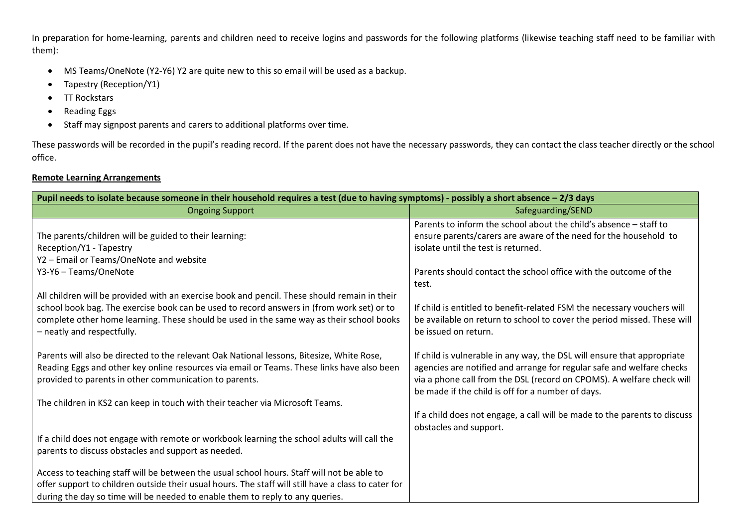In preparation for home-learning, parents and children need to receive logins and passwords for the following platforms (likewise teaching staff need to be familiar with them):

- MS Teams/OneNote (Y2-Y6) Y2 are quite new to this so email will be used as a backup.
- Tapestry (Reception/Y1)
- TT Rockstars
- Reading Eggs
- Staff may signpost parents and carers to additional platforms over time.

These passwords will be recorded in the pupil's reading record. If the parent does not have the necessary passwords, they can contact the class teacher directly or the school office.

## **Remote Learning Arrangements**

| Pupil needs to isolate because someone in their household requires a test (due to having symptoms) - possibly a short absence - 2/3 days                                                                                                          |                                                                                                                                                                                                                                                                                |  |
|---------------------------------------------------------------------------------------------------------------------------------------------------------------------------------------------------------------------------------------------------|--------------------------------------------------------------------------------------------------------------------------------------------------------------------------------------------------------------------------------------------------------------------------------|--|
| <b>Ongoing Support</b>                                                                                                                                                                                                                            | Safeguarding/SEND                                                                                                                                                                                                                                                              |  |
|                                                                                                                                                                                                                                                   | Parents to inform the school about the child's absence - staff to                                                                                                                                                                                                              |  |
| The parents/children will be guided to their learning:                                                                                                                                                                                            | ensure parents/carers are aware of the need for the household to                                                                                                                                                                                                               |  |
| Reception/Y1 - Tapestry                                                                                                                                                                                                                           | isolate until the test is returned.                                                                                                                                                                                                                                            |  |
| Y2 - Email or Teams/OneNote and website                                                                                                                                                                                                           |                                                                                                                                                                                                                                                                                |  |
| Y3-Y6 - Teams/OneNote                                                                                                                                                                                                                             | Parents should contact the school office with the outcome of the<br>test.                                                                                                                                                                                                      |  |
| All children will be provided with an exercise book and pencil. These should remain in their                                                                                                                                                      |                                                                                                                                                                                                                                                                                |  |
| school book bag. The exercise book can be used to record answers in (from work set) or to<br>complete other home learning. These should be used in the same way as their school books<br>- neatly and respectfully.                               | If child is entitled to benefit-related FSM the necessary vouchers will<br>be available on return to school to cover the period missed. These will<br>be issued on return.                                                                                                     |  |
| Parents will also be directed to the relevant Oak National lessons, Bitesize, White Rose,<br>Reading Eggs and other key online resources via email or Teams. These links have also been<br>provided to parents in other communication to parents. | If child is vulnerable in any way, the DSL will ensure that appropriate<br>agencies are notified and arrange for regular safe and welfare checks<br>via a phone call from the DSL (record on CPOMS). A welfare check will<br>be made if the child is off for a number of days. |  |
| The children in KS2 can keep in touch with their teacher via Microsoft Teams.                                                                                                                                                                     |                                                                                                                                                                                                                                                                                |  |
|                                                                                                                                                                                                                                                   | If a child does not engage, a call will be made to the parents to discuss<br>obstacles and support.                                                                                                                                                                            |  |
| If a child does not engage with remote or workbook learning the school adults will call the<br>parents to discuss obstacles and support as needed.                                                                                                |                                                                                                                                                                                                                                                                                |  |
| Access to teaching staff will be between the usual school hours. Staff will not be able to                                                                                                                                                        |                                                                                                                                                                                                                                                                                |  |
| offer support to children outside their usual hours. The staff will still have a class to cater for                                                                                                                                               |                                                                                                                                                                                                                                                                                |  |
| during the day so time will be needed to enable them to reply to any queries.                                                                                                                                                                     |                                                                                                                                                                                                                                                                                |  |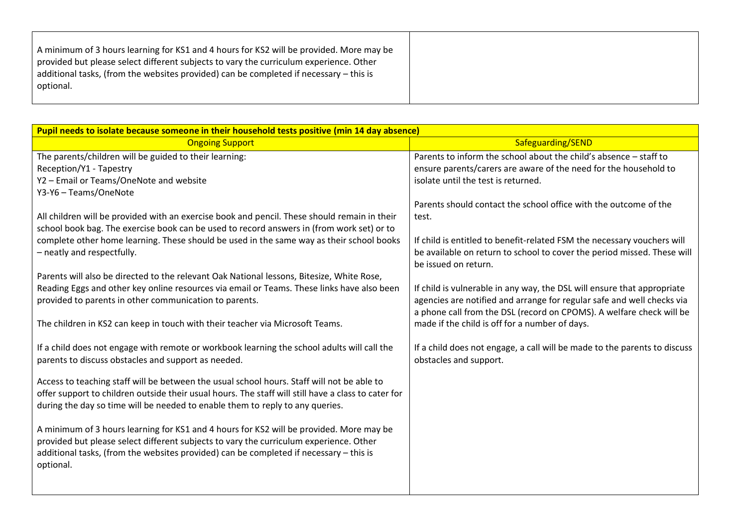|--|

| Pupil needs to isolate because someone in their household tests positive (min 14 day absence)       |                                                                                                                        |  |
|-----------------------------------------------------------------------------------------------------|------------------------------------------------------------------------------------------------------------------------|--|
| <b>Ongoing Support</b>                                                                              | Safeguarding/SEND                                                                                                      |  |
| The parents/children will be guided to their learning:                                              | Parents to inform the school about the child's absence - staff to                                                      |  |
| Reception/Y1 - Tapestry                                                                             | ensure parents/carers are aware of the need for the household to                                                       |  |
| Y2 - Email or Teams/OneNote and website                                                             | isolate until the test is returned.                                                                                    |  |
| Y3-Y6 - Teams/OneNote                                                                               |                                                                                                                        |  |
|                                                                                                     | Parents should contact the school office with the outcome of the                                                       |  |
| All children will be provided with an exercise book and pencil. These should remain in their        | test.                                                                                                                  |  |
| school book bag. The exercise book can be used to record answers in (from work set) or to           |                                                                                                                        |  |
| complete other home learning. These should be used in the same way as their school books            | If child is entitled to benefit-related FSM the necessary vouchers will                                                |  |
| - neatly and respectfully.                                                                          | be available on return to school to cover the period missed. These will                                                |  |
|                                                                                                     | be issued on return.                                                                                                   |  |
| Parents will also be directed to the relevant Oak National lessons, Bitesize, White Rose,           |                                                                                                                        |  |
| Reading Eggs and other key online resources via email or Teams. These links have also been          | If child is vulnerable in any way, the DSL will ensure that appropriate                                                |  |
| provided to parents in other communication to parents.                                              | agencies are notified and arrange for regular safe and well checks via                                                 |  |
| The children in KS2 can keep in touch with their teacher via Microsoft Teams.                       | a phone call from the DSL (record on CPOMS). A welfare check will be<br>made if the child is off for a number of days. |  |
|                                                                                                     |                                                                                                                        |  |
| If a child does not engage with remote or workbook learning the school adults will call the         | If a child does not engage, a call will be made to the parents to discuss                                              |  |
| parents to discuss obstacles and support as needed.                                                 | obstacles and support.                                                                                                 |  |
|                                                                                                     |                                                                                                                        |  |
| Access to teaching staff will be between the usual school hours. Staff will not be able to          |                                                                                                                        |  |
| offer support to children outside their usual hours. The staff will still have a class to cater for |                                                                                                                        |  |
| during the day so time will be needed to enable them to reply to any queries.                       |                                                                                                                        |  |
|                                                                                                     |                                                                                                                        |  |
| A minimum of 3 hours learning for KS1 and 4 hours for KS2 will be provided. More may be             |                                                                                                                        |  |
| provided but please select different subjects to vary the curriculum experience. Other              |                                                                                                                        |  |
| additional tasks, (from the websites provided) can be completed if necessary - this is              |                                                                                                                        |  |
| optional.                                                                                           |                                                                                                                        |  |
|                                                                                                     |                                                                                                                        |  |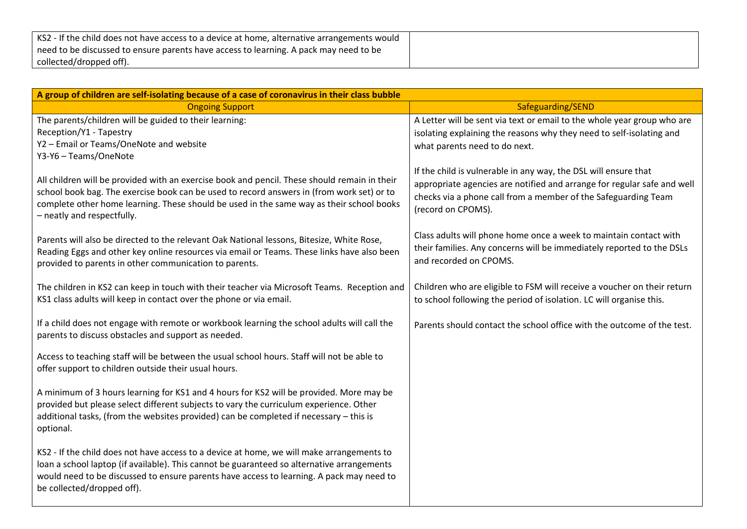| KS2 - If the child does not have access to a device at home, alternative arrangements would |  |
|---------------------------------------------------------------------------------------------|--|
| need to be discussed to ensure parents have access to learning. A pack may need to be       |  |
| collected/dropped off).                                                                     |  |

| A group of children are self-isolating because of a case of coronavirus in their class bubble                                                                                                                                                                                                                       |                                                                                                                                                                                                                                    |  |
|---------------------------------------------------------------------------------------------------------------------------------------------------------------------------------------------------------------------------------------------------------------------------------------------------------------------|------------------------------------------------------------------------------------------------------------------------------------------------------------------------------------------------------------------------------------|--|
| <b>Ongoing Support</b>                                                                                                                                                                                                                                                                                              | Safeguarding/SEND                                                                                                                                                                                                                  |  |
| The parents/children will be guided to their learning:<br>Reception/Y1 - Tapestry<br>Y2 - Email or Teams/OneNote and website<br>Y3-Y6 - Teams/OneNote                                                                                                                                                               | A Letter will be sent via text or email to the whole year group who are<br>isolating explaining the reasons why they need to self-isolating and<br>what parents need to do next.                                                   |  |
| All children will be provided with an exercise book and pencil. These should remain in their<br>school book bag. The exercise book can be used to record answers in (from work set) or to<br>complete other home learning. These should be used in the same way as their school books<br>- neatly and respectfully. | If the child is vulnerable in any way, the DSL will ensure that<br>appropriate agencies are notified and arrange for regular safe and well<br>checks via a phone call from a member of the Safeguarding Team<br>(record on CPOMS). |  |
| Parents will also be directed to the relevant Oak National lessons, Bitesize, White Rose,<br>Reading Eggs and other key online resources via email or Teams. These links have also been<br>provided to parents in other communication to parents.                                                                   | Class adults will phone home once a week to maintain contact with<br>their families. Any concerns will be immediately reported to the DSLs<br>and recorded on CPOMS.                                                               |  |
| The children in KS2 can keep in touch with their teacher via Microsoft Teams. Reception and<br>KS1 class adults will keep in contact over the phone or via email.                                                                                                                                                   | Children who are eligible to FSM will receive a voucher on their return<br>to school following the period of isolation. LC will organise this.                                                                                     |  |
| If a child does not engage with remote or workbook learning the school adults will call the<br>parents to discuss obstacles and support as needed.                                                                                                                                                                  | Parents should contact the school office with the outcome of the test.                                                                                                                                                             |  |
| Access to teaching staff will be between the usual school hours. Staff will not be able to<br>offer support to children outside their usual hours.                                                                                                                                                                  |                                                                                                                                                                                                                                    |  |
| A minimum of 3 hours learning for KS1 and 4 hours for KS2 will be provided. More may be<br>provided but please select different subjects to vary the curriculum experience. Other<br>additional tasks, (from the websites provided) can be completed if necessary - this is<br>optional.                            |                                                                                                                                                                                                                                    |  |
| KS2 - If the child does not have access to a device at home, we will make arrangements to<br>loan a school laptop (if available). This cannot be guaranteed so alternative arrangements<br>would need to be discussed to ensure parents have access to learning. A pack may need to<br>be collected/dropped off).   |                                                                                                                                                                                                                                    |  |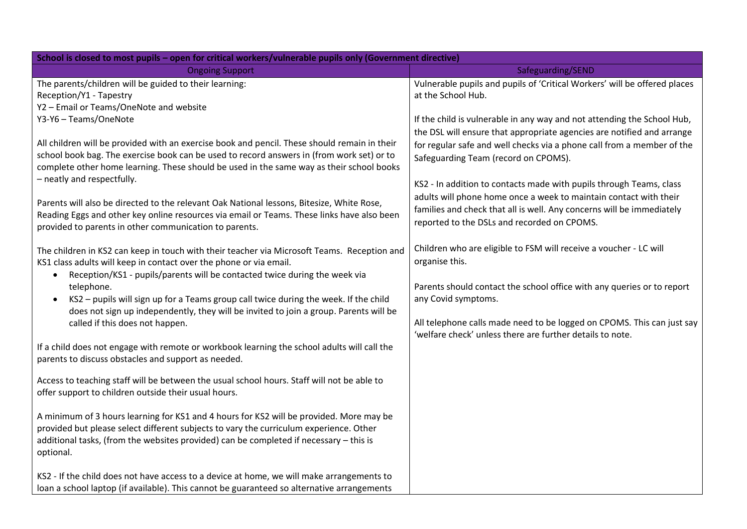| School is closed to most pupils - open for critical workers/vulnerable pupils only (Government directive)                                                                                                                                                                                                                                                                                                                                                                                      |                                                                                                                                                                                                                                                                                                                             |  |
|------------------------------------------------------------------------------------------------------------------------------------------------------------------------------------------------------------------------------------------------------------------------------------------------------------------------------------------------------------------------------------------------------------------------------------------------------------------------------------------------|-----------------------------------------------------------------------------------------------------------------------------------------------------------------------------------------------------------------------------------------------------------------------------------------------------------------------------|--|
| <b>Ongoing Support</b>                                                                                                                                                                                                                                                                                                                                                                                                                                                                         | Safeguarding/SEND                                                                                                                                                                                                                                                                                                           |  |
| The parents/children will be guided to their learning:<br>Reception/Y1 - Tapestry<br>Y2 - Email or Teams/OneNote and website<br>Y3-Y6 - Teams/OneNote                                                                                                                                                                                                                                                                                                                                          | Vulnerable pupils and pupils of 'Critical Workers' will be offered places<br>at the School Hub.<br>If the child is vulnerable in any way and not attending the School Hub,                                                                                                                                                  |  |
| All children will be provided with an exercise book and pencil. These should remain in their<br>school book bag. The exercise book can be used to record answers in (from work set) or to<br>complete other home learning. These should be used in the same way as their school books<br>- neatly and respectfully.                                                                                                                                                                            | the DSL will ensure that appropriate agencies are notified and arrange<br>for regular safe and well checks via a phone call from a member of the<br>Safeguarding Team (record on CPOMS).<br>KS2 - In addition to contacts made with pupils through Teams, class                                                             |  |
| Parents will also be directed to the relevant Oak National lessons, Bitesize, White Rose,<br>Reading Eggs and other key online resources via email or Teams. These links have also been<br>provided to parents in other communication to parents.                                                                                                                                                                                                                                              | adults will phone home once a week to maintain contact with their<br>families and check that all is well. Any concerns will be immediately<br>reported to the DSLs and recorded on CPOMS.                                                                                                                                   |  |
| The children in KS2 can keep in touch with their teacher via Microsoft Teams. Reception and<br>KS1 class adults will keep in contact over the phone or via email.<br>Reception/KS1 - pupils/parents will be contacted twice during the week via<br>$\bullet$<br>telephone.<br>KS2 - pupils will sign up for a Teams group call twice during the week. If the child<br>does not sign up independently, they will be invited to join a group. Parents will be<br>called if this does not happen. | Children who are eligible to FSM will receive a voucher - LC will<br>organise this.<br>Parents should contact the school office with any queries or to report<br>any Covid symptoms.<br>All telephone calls made need to be logged on CPOMS. This can just say<br>'welfare check' unless there are further details to note. |  |
| If a child does not engage with remote or workbook learning the school adults will call the<br>parents to discuss obstacles and support as needed.                                                                                                                                                                                                                                                                                                                                             |                                                                                                                                                                                                                                                                                                                             |  |
| Access to teaching staff will be between the usual school hours. Staff will not be able to<br>offer support to children outside their usual hours.                                                                                                                                                                                                                                                                                                                                             |                                                                                                                                                                                                                                                                                                                             |  |
| A minimum of 3 hours learning for KS1 and 4 hours for KS2 will be provided. More may be<br>provided but please select different subjects to vary the curriculum experience. Other<br>additional tasks, (from the websites provided) can be completed if necessary - this is<br>optional.                                                                                                                                                                                                       |                                                                                                                                                                                                                                                                                                                             |  |
| KS2 - If the child does not have access to a device at home, we will make arrangements to<br>loan a school laptop (if available). This cannot be guaranteed so alternative arrangements                                                                                                                                                                                                                                                                                                        |                                                                                                                                                                                                                                                                                                                             |  |